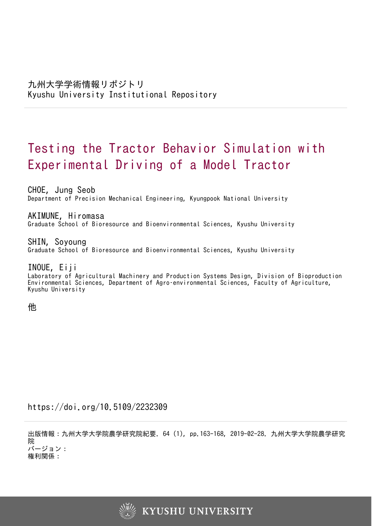# Testing the Tractor Behavior Simulation with Experimental Driving of a Model Tractor

CHOE, Jung Seob Department of Precision Mechanical Engineering, Kyungpook National University

AKIMUNE, Hiromasa Graduate School of Bioresource and Bioenvironmental Sciences, Kyushu University

SHIN, Soyoung Graduate School of Bioresource and Bioenvironmental Sciences, Kyushu University

# INOUE, Eiji

Laboratory of Agricultural Machinery and Production Systems Design, Division of Bioproduction Environmental Sciences, Department of Agro–environmental Sciences, Faculty of Agriculture, Kyushu University

他

https://doi.org/10.5109/2232309

出版情報:九州大学大学院農学研究院紀要. 64 (1), pp.163-168, 2019-02-28. 九州大学大学院農学研究 院 バージョン:

権利関係:

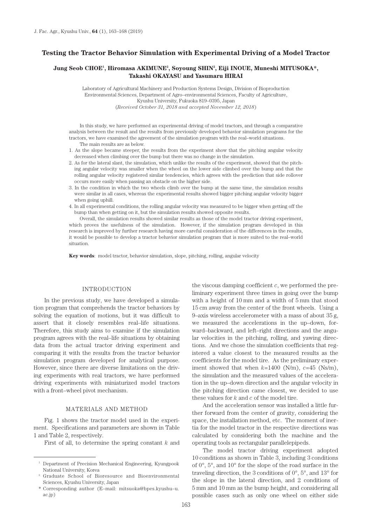# **Testing the Tractor Behavior Simulation with Experimental Driving of a Model Tractor**

## **Jung Seob CHOE1 , Hiromasa AKIMUNE2 , Soyoung SHIN2 , Eiji INOUE, Muneshi MITUSOKA\*, Takashi OKAYASU and Yasumaru HIRAI**

Laboratory of Agricultural Machinery and Production Systems Design, Division of Bioproduction Environmental Sciences, Department of Agro–environmental Sciences, Faculty of Agriculture, Kyushu University, Fukuoka 819–0395, Japan (*Received October 31, 2018 and accepted November 12, 2018*)

In this study, we have performed an experimental driving of model tractors, and through a comparative analysis between the result and the results from previously developed behavior simulation programs for the tractors, we have examined the agreement of the simulation program with the real–world situations. The main results are as below.

- 1. As the slope became steeper, the results from the experiment show that the pitching angular velocity decreased when climbing over the bump but there was no change in the simulation.
- 2. As for the lateral slant, the simulation, which unlike the results of the experiment, showed that the pitching angular velocity was smaller when the wheel on the lower side climbed over the bump and that the rolling angular velocity registered similar tendencies, which agrees with the prediction that side rollover occurs more easily when passing an obstacle on the higher side.
- 3. In the condition in which the two wheels climb over the bump at the same time, the simulation results were similar in all cases, whereas the experimental results showed bigger pitching angular velocity bigger when going uphill.
- 4. In all experimental conditions, the rolling angular velocity was measured to be bigger when getting off the bump than when getting on it, but the simulation results showed opposite results.

Overall, the simulation results showed similar results as those of the model tractor driving experiment, which proves the usefulness of the simulation. However, if the simulation program developed in this research is improved by further research having more careful consideration of the differences in the results, it would be possible to develop a tractor behavior simulation program that is more suited to the real–world situation.

**Key words**: model tractor, behavior simulation, slope, pitching, rolling, angular velocity

#### INTRODUCTION

In the previous study, we have developed a simulation program that comprehends the tractor behaviors by solving the equation of motions, but it was difficult to assert that it closely resembles real–life situations. Therefore, this study aims to examine if the simulation program agrees with the real–life situations by obtaining data from the actual tractor driving experiment and comparing it with the results from the tractor behavior simulation program developed for analytical purpose. However, since there are diverse limitations on the driving experiments with real tractors, we have performed driving experiments with miniaturized model tractors with a front–wheel pivot mechanism.

### MATERIALS AND METHOD

Fig. 1 shows the tractor model used in the experiment. Specifications and parameters are shown in Table 1 and Table 2, respectively.

First of all, to determine the spring constant *k* and

the viscous damping coefficient *c*, we performed the preliminary experiment three times in going over the bump with a height of 10 mm and a width of 5 mm that stood 15 cm away from the center of the front wheels. Using a 9–axis wireless accelerometer with a mass of about 35 g, we measured the accelerations in the up–down, forward–backward, and left–right directions and the angular velocities in the pitching, rolling, and yawing directions. And we chose the simulation coefficients that registered a value closest to the measured results as the coefficients for the model tire. As the preliminary experiment showed that when  $k=1400$  (N/m),  $c=45$  (Ns/m), the simulation and the measured values of the acceleration in the up–down direction and the angular velocity in the pitching direction came closest, we decided to use these values for *k* and *c* of the model tire.

And the acceleration sensor was installed a little further forward from the center of gravity, considering the space, the installation method, etc. The moment of inertia for the model tractor in the respective directions was calculated by considering both the machine and the operating tools as rectangular parallelepipeds.

The model tractor driving experiment adopted 10 conditions as shown in Table 3, including 3 conditions of 0°, 5°, and 10° for the slope of the road surface in the traveling direction, the 3 conditions of  $0^{\circ}$ ,  $5^{\circ}$ , and  $13^{\circ}$  for the slope in the lateral direction, and 2 conditions of 5 mm and 10 mm as the bump height, and considering all possible cases such as only one wheel on either side

<sup>&</sup>lt;sup>1</sup> Department of Precision Mechanical Engineering, Kyungpook National University, Korea

<sup>2</sup> Graduate School of Bioresource and Bioenvironmental Sciences, Kyushu University, Japan

<sup>\*</sup> Corresponding author (E–mail: mitsuoka@bpes.kyushu–u. ac.jp)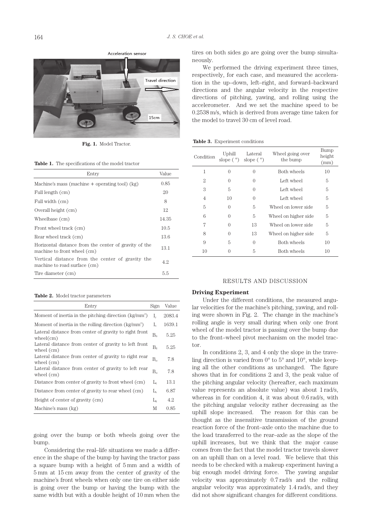Acceleration sensor



**Fig. 1.** Model Tractor.

|  |  | <b>Table 1.</b> The specifications of the model tractor |  |  |  |
|--|--|---------------------------------------------------------|--|--|--|
|--|--|---------------------------------------------------------|--|--|--|

| Entry                                                                                |       |  |
|--------------------------------------------------------------------------------------|-------|--|
| Machine's mass (machine $+$ operating tool) (kg)                                     |       |  |
| Full length (cm)                                                                     | 20    |  |
| Full width (cm)                                                                      | 8     |  |
| Overall height (cm)                                                                  | 12    |  |
| Wheelbase (cm)                                                                       | 14.35 |  |
| Front wheel track (cm)                                                               |       |  |
| Rear wheel track (cm)                                                                |       |  |
| Horizontal distance from the center of gravity of the<br>machine to front wheel (cm) |       |  |
| Vertical distance from the center of gravity the<br>machine to road surface (cm)     | 4.2   |  |
| Tire diameter (cm)                                                                   |       |  |

|  |  |  | <b>Table 2.</b> Model tractor parameters |
|--|--|--|------------------------------------------|
|--|--|--|------------------------------------------|

| Entry                                                                 | Sign              | Value  |
|-----------------------------------------------------------------------|-------------------|--------|
| Moment of inertia in the pitching direction (kg/mm <sup>2</sup> )     | I.                | 2083.4 |
| Moment of inertia in the rolling direction (kg/mm <sup>2</sup> )      | $I_{\rm x}$       | 1639.1 |
| Lateral distance from center of gravity to right front<br>wheel(cm)   | $\rm B_{\rm fr}$  | 5.25   |
| Lateral distance from center of gravity to left front<br>wheel $(cm)$ | $\rm B_{n}$       | 5.25   |
| Lateral distance from center of gravity to right rear<br>wheel $(cm)$ | $\rm B_{rr}$      | 7.8    |
| Lateral distance from center of gravity to left rear<br>wheel $(cm)$  | $B_{ri}$          | 7.8    |
| Distance from center of gravity to front wheel (cm)                   | L                 | 13.1   |
| Distance from center of gravity to rear wheel (cm)                    | L.                | 6.87   |
| Height of center of gravity (cm)                                      | $L_{\varepsilon}$ | 4.2    |
| Machine's mass (kg)                                                   | М                 | 0.85   |

going over the bump or both wheels going over the bump.

Considering the real–life situations we made a difference in the shape of the bump by having the tractor pass a square bump with a height of 5 mm and a width of 5 mm at 15 cm away from the center of gravity of the machine's front wheels when only one tire on either side is going over the bump or having the bump with the same width but with a double height of 10 mm when the

tires on both sides go are going over the bump simultaneously.

We performed the driving experiment three times, respectively, for each case, and measured the acceleration in the up–down, left–right, and forward–backward directions and the angular velocity in the respective directions of pitching, yawing, and rolling using the accelerometer. And we set the machine speed to be 0.2538 m/s, which is derived from average time taken for the model to travel 30 cm of level road.

#### **Table 3.** Experiment conditions

| Condition | Uphill<br>slope $(°)$ | Lateral<br>slope $(°)$ | Wheel going over<br>the bump | Bump<br>height<br>(mm) |
|-----------|-----------------------|------------------------|------------------------------|------------------------|
| 1         | 0                     | 0                      | Both wheels                  | 10                     |
| 2         | 0                     | $\left( \right)$       | Left wheel                   | 5                      |
| 3         | 5                     | $\left( \right)$       | Left wheel                   | 5                      |
| 4         | 10                    | 0                      | Left wheel                   | 5                      |
| 5         | 0                     | 5                      | Wheel on lower side          | 5                      |
| 6         | 0                     | 5                      | Wheel on higher side         | 5                      |
| 7         | 0                     | 13                     | Wheel on lower side          | 5                      |
| 8         | ∩                     | 13                     | Wheel on higher side         | 5                      |
| 9         | 5                     | 0                      | <b>Both wheels</b>           | 10                     |
| 10        | 0                     | 5                      | Both wheels                  | 10                     |

#### RESULTS AND DISCUSSION

#### **Driving Experiment**

Under the different conditions, the measured angular velocities for the machine's pitching, yawing, and rolling were shown in Fig. 2. The change in the machine's rolling angle is very small during when only one front wheel of the model tractor is passing over the bump due to the front–wheel pivot mechanism on the model tractor.

In conditions 2, 3, and 4 only the slope in the traveling direction is varied from 0° to 5° and 10°, while keeping all the other conditions as unchanged. The figure shows that in for conditions 2 and 3, the peak value of the pitching angular velocity (hereafter, each maximum value represents an absolute value) was about 1 rad/s, whereas in for condition 4, it was about 0.6 rad/s, with the pitching angular velocity rather decreasing as the uphill slope increased. The reason for this can be thought as the insensitive transmission of the ground reaction force of the front–axle onto the machine due to the load transferred to the rear–axle as the slope of the uphill increases, but we think that the major cause comes from the fact that the model tractor travels slower on an uphill than on a level road. We believe that this needs to be checked with a makeup experiment having a big enough model driving force. The yawing angular velocity was approximately 0.7 rad/s and the rolling angular velocity was approximately 1.4 rad/s, and they did not show significant changes for different conditions.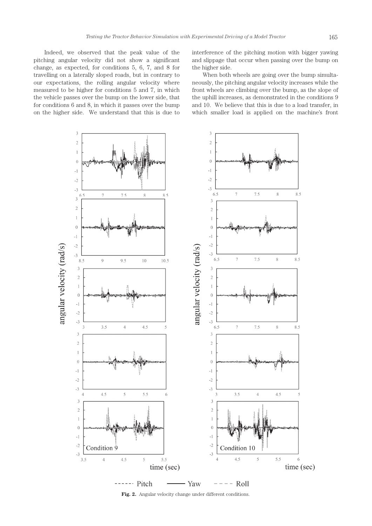Indeed, we observed that the peak value of the pitching angular velocity did not show a significant change, as expected, for conditions 5, 6, 7, and 8 for travelling on a laterally sloped roads, but in contrary to our expectations, the rolling angular velocity where measured to be higher for conditions 5 and 7, in which the vehicle passes over the bump on the lower side, that for conditions 6 and 8, in which it passes over the bump on the higher side. We understand that this is due to interference of the pitching motion with bigger yawing and slippage that occur when passing over the bump on the higher side.

When both wheels are going over the bump simultaneously, the pitching angular velocity increases while the front wheels are climbing over the bump, as the slope of the uphill increases, as demonstrated in the conditions 9 and 10. We believe that this is due to a load transfer, in which smaller load is applied on the machine's front



**Fig. 2.** Angular velocity change under different conditions.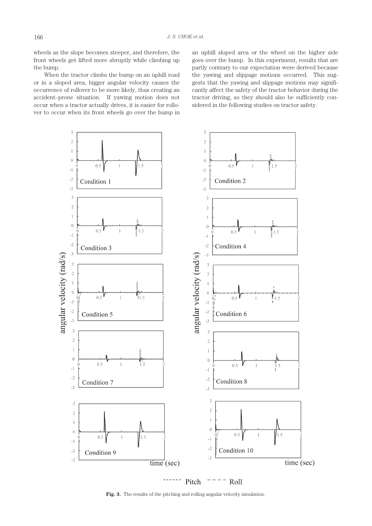wheels as the slope becomes steeper, and therefore, the front wheels get lifted more abruptly while climbing up the bump.

When the tractor climbs the bump on an uphill road or in a sloped area, bigger angular velocity causes the occurrence of rollover to be more likely, thus creating an accident–prone situation. If yawing motion does not occur when a tractor actually drives, it is easier for rollover to occur when its front wheels go over the bump in an uphill sloped area or the wheel on the higher side goes over the bump. In this experiment, results that are partly contrary to our expectation were derived because the yawing and slippage motions occurred. This suggests that the yawing and slippage motions may significantly affect the safety of the tractor behavior during the tractor driving, so they should also be sufficiently considered in the following studies on tractor safety.



**Fig. 3.** The results of the pitching and rolling angular velocity simulation.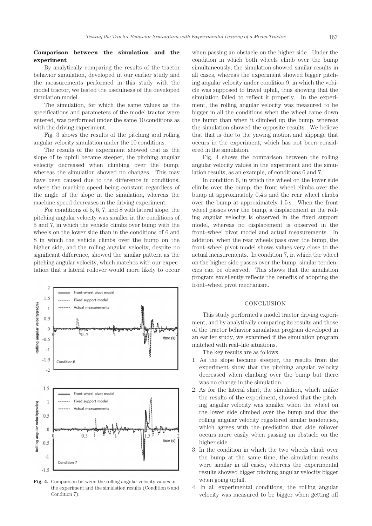# **Comparison between the simulation and the experiment**

By analytically comparing the results of the tractor behavior simulation, developed in our earlier study and the measurements performed in this study with the model tractor, we tested the usefulness of the developed simulation model.

The simulation, for which the same values as the specifications and parameters of the model tractor were entered, was performed under the same 10 conditions as with the driving experiment.

Fig. 3 shows the results of the pitching and rolling angular velocity simulation under the 10 conditions.

The results of the experiment showed that as the slope of te uphill became steeper, the pitching angular velocity decreased when climbing over the bump, whereas the simulation showed no changes. This may have been caused due to the difference in conditions, where the machine speed being constant regardless of the angle of the slope in the simulation, whereas the machine speed decreases in the driving experiment.

For conditions of 5, 6, 7, and 8 with lateral slope, the pitching angular velocity was smaller in the conditions of 5 and 7, in which the vehicle climbs over bump with the wheels on the lower side than in the conditions of 6 and 8 in which the vehicle climbs over the bump on the higher side, and the rolling angular velocity, despite no significant difference, showed the similar pattern as the pitching angular velocity, which matches with our expectation that a lateral rollover would more likely to occur



**Fig. 4.** Comparison between the rolling angular velocity values in the experiment and the simulation results (Condition 6 and Condition 7).

when passing an obstacle on the higher side. Under the condition in which both wheels climb over the bump simultaneously, the simulation showed similar results in all cases, whereas the experiment showed bigger pitching angular velocity under condition 9, in which the vehicle was supposed to travel uphill, thus showing that the simulation failed to reflect it properly. In the experiment, the rolling angular velocity was measured to be bigger in all the conditions when the wheel came down the bump than when it climbed up the bump, whereas the simulation showed the opposite results. We believe that that is due to the yawing motion and slippage that occurs in the experiment, which has not been considered in the simulation.

Fig. 4 shows the comparison between the rolling angular velocity values in the experiment and the simulation results, as an example, of conditions 6 and 7.

In condition 6, in which the wheel on the lower side climbs over the bump, the front wheel climbs over the bump at approximately 0.4 s and the rear wheel climbs over the bump at approximately 1.5 s. When the front wheel passes over the bump, a displacement in the rolling angular velocity is observed in the fixed support model, whereas no displacement is observed in the front–wheel pivot model and actual measurements. In addition, when the rear wheels pass over the bump, the front–wheel pivot model shows values very close to the actual measurements. In condition 7, in which the wheel on the higher side passes over the bump, similar tendencies can be observed. This shows that the simulation program excellently reflects the benefits of adopting the front–wheel pivot mechanism.

# CONCLUSION

This study performed a model tractor driving experiment, and by analytically comparing its results and those of the tractor behavior simulation program developed in an earlier study, we examined if the simulation program matched with real–life situations.

The key results are as follows.

- 1. As the slope became steeper, the results from the experiment show that the pitching angular velocity decreased when climbing over the bump but there was no change in the simulation.
- 2. As for the lateral slant, the simulation, which unlike the results of the experiment, showed that the pitching angular velocity was smaller when the wheel on the lower side climbed over the bump and that the rolling angular velocity registered similar tendencies, which agrees with the prediction that side rollover occurs more easily when passing an obstacle on the higher side.
- 3. In the condition in which the two wheels climb over the bump at the same time, the simulation results were similar in all cases, whereas the experimental results showed bigger pitching angular velocity bigger when going uphill.
- 4. In all experimental conditions, the rolling angular velocity was measured to be bigger when getting off